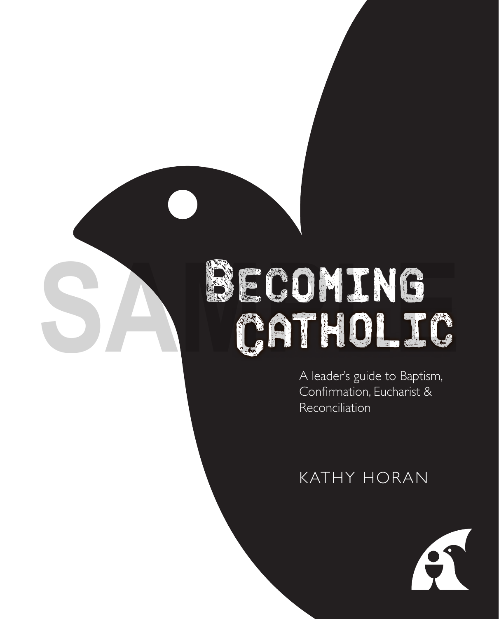# ECOMING **SAMPLE COMING** CATHOLIC

A leader's guide to Baptism, Confirmation, Eucharist & Reconciliation

### KATHY HORAN

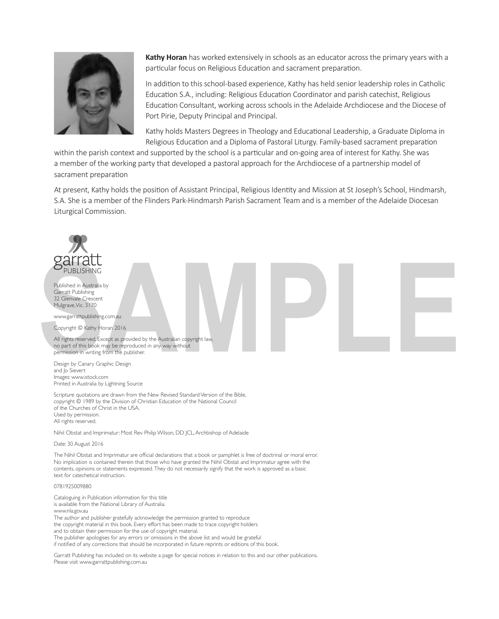

**Kathy Horan** has worked extensively in schools as an educator across the primary years with a particular focus on Religious Education and sacrament preparation.

In addition to this school-based experience, Kathy has held senior leadership roles in Catholic Education S.A., including: Religious Education Coordinator and parish catechist, Religious Education Consultant, working across schools in the Adelaide Archdiocese and the Diocese of Port Pirie, Deputy Principal and Principal.

Kathy holds Masters Degrees in Theology and Educational Leadership, a Graduate Diploma in Religious Education and a Diploma of Pastoral Liturgy. Family-based sacrament preparation

within the parish context and supported by the school is a particular and on-going area of interest for Kathy. She was a member of the working party that developed a pastoral approach for the Archdiocese of a partnership model of sacrament preparation

At present, Kathy holds the position of Assistant Principal, Religious Identity and Mission at St Joseph's School, Hindmarsh, S.A. She is a member of the Flinders Park-Hindmarsh Parish Sacrament Team and is a member of the Adelaide Diocesan Liturgical Commission.



The Nihil Obstat and Imprimatur are official declarations that a book or pamphlet is free of doctrinal or moral error. No implication is contained therein that those who have granted the Nihil Obstat and Imprimatur agree with the contents, opinions or statements expressed. They do not necessarily signify that the work is approved as a basic text for catechetical instruction.

#### 0781925009880

Cataloguing in Publication information for this title is available from the National Library of Australia. www.nla.gov.au The author and publisher gratefully acknowledge the permission granted to reproduce the copyright material in this book. Every effort has been made to trace copyright holders and to obtain their permission for the use of copyright material. The publisher apologises for any errors or omissions in the above list and would be grateful if notified of any corrections that should be incorporated in future reprints or editions of this book.

Garratt Publishing has included on its website a page for special notices in relation to this and our other publications. Please visit www.garrattpublishing.com.au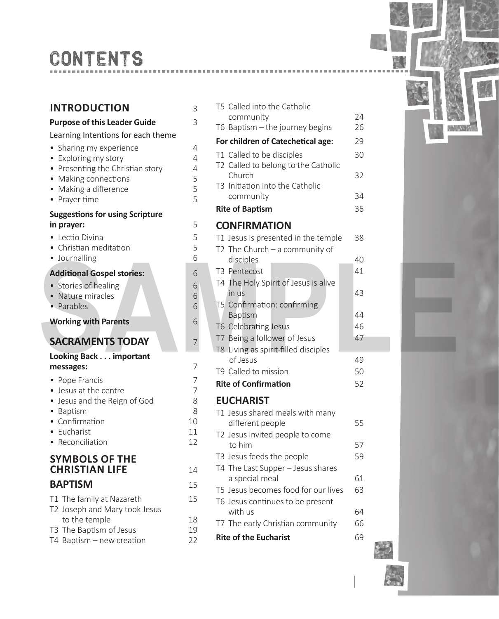# CONTENTS

### **INTRODUCTION** 3

### **Purpose of this Leader Guide** 3

#### Learning Intentions for each theme

- Sharing my experience 4<br>• Exploring my story 4
- Exploring my story
- Presenting the Christian story 4<br>• Making connections 5
- Making connections 5<br>• Making a difference 5
- Making a difference 5<br>• Praver time 5
- Prayer time

### **Suggestions for using Scripture in prayer:** 5

- 
- Lectio Divina 5<br>• Christian meditation 5 • Christian meditation
- Journalling 6

#### Additional Gospel stories: **6**

- Stories of healing 6<br>• Nature miracles 6
- Nature miracles 6<br>• Parables 6
- Parables

### **SACRAMENTS TODAY** 7

#### **Looking Back . . . important messages:** 7

- Pope Francis 7
- Jesus at the centre 7
- Jesus and the Reign of God 8
- Baptism 8
- Confirmation 10
- Eucharist 11<br>• Reconciliation 12
- Reconciliation

### **SYMBOLS OF THE CHRISTIAN LIFE** 14

### **BAPTISM** 15

- T1 The family at Nazareth 15 T2 Joseph and Mary took Jesus to the temple 18 T3 The Baptism of Jesus 19
- 
- T4 Baptism new creation 22

| <b>INTRODUCTION</b>                            | 3        | T5 Called into the Catholic                         |          |  |
|------------------------------------------------|----------|-----------------------------------------------------|----------|--|
| <b>Purpose of this Leader Guide</b>            | 3        | community                                           | 24<br>26 |  |
| Learning Intentions for each theme             |          | T6 Baptism - the journey begins                     |          |  |
| • Sharing my experience                        | 4        | For children of Catechetical age:                   | 29       |  |
| • Exploring my story                           | 4        | T1 Called to be disciples                           | 30       |  |
| • Presenting the Christian story               | 4        | T2 Called to belong to the Catholic                 |          |  |
| • Making connections                           | 5        | Church<br>T3 Initiation into the Catholic           | 32       |  |
| • Making a difference                          | 5        | community                                           | 34       |  |
| • Prayer time                                  | 5        | <b>Rite of Baptism</b>                              | 36       |  |
| <b>Suggestions for using Scripture</b>         |          |                                                     |          |  |
| in prayer:                                     | 5        | <b>CONFIRMATION</b>                                 |          |  |
| • Lectio Divina                                | 5        | T1 Jesus is presented in the temple                 | 38       |  |
| • Christian meditation                         | 5        | T2 The Church $-$ a community of                    |          |  |
| · Journalling                                  | 6        | disciples                                           | 40       |  |
| <b>Additional Gospel stories:</b>              | 6        | T3 Pentecost                                        | 41       |  |
| • Stories of healing                           | 6        | T4 The Holy Spirit of Jesus is alive                |          |  |
| • Nature miracles                              | 6        | in us                                               | 43       |  |
| • Parables                                     | 6        | T5 Confirmation: confirming<br>Baptism              | 44       |  |
| <b>Working with Parents</b>                    | 6        | T6 Celebrating Jesus                                | 46       |  |
|                                                |          | T7 Being a follower of Jesus                        | 47       |  |
| <b>SACRAMENTS TODAY</b>                        | 7        | T8 Living as spirit-filled disciples                |          |  |
| Looking Back important                         |          | of Jesus                                            | 49       |  |
| messages:                                      | 7        | T9 Called to mission                                | 50       |  |
| • Pope Francis                                 | 7        | <b>Rite of Confirmation</b>                         | 52       |  |
| • Jesus at the centre                          | 7        |                                                     |          |  |
| • Jesus and the Reign of God<br>• Baptism      | 8<br>8   | <b>EUCHARIST</b>                                    |          |  |
| • Confirmation                                 | 10       | T1 Jesus shared meals with many<br>different people | 55       |  |
| • Eucharist                                    | 11       | T2 Jesus invited people to come                     |          |  |
| • Reconciliation                               | 12       | to him                                              | 57       |  |
| <b>SYMBOLS OF THE</b>                          |          | T3 Jesus feeds the people                           | 59       |  |
| <b>CHRISTIAN LIFE</b>                          | 14       | T4 The Last Supper - Jesus shares                   |          |  |
|                                                |          | a special meal                                      | 61       |  |
| <b>BAPTISM</b>                                 | 15       | T5 Jesus becomes food for our lives                 | 63       |  |
| T1 The family at Nazareth                      | 15       | T6 Jesus continues to be present                    |          |  |
| T2 Joseph and Mary took Jesus<br>to the temple |          | with us                                             | 64       |  |
| T3 The Baptism of Jesus                        | 18<br>19 | T7 The early Christian community                    | 66       |  |
| T4 Bantism - new creation                      | 22       | <b>Rite of the Eucharist</b>                        | 69       |  |





1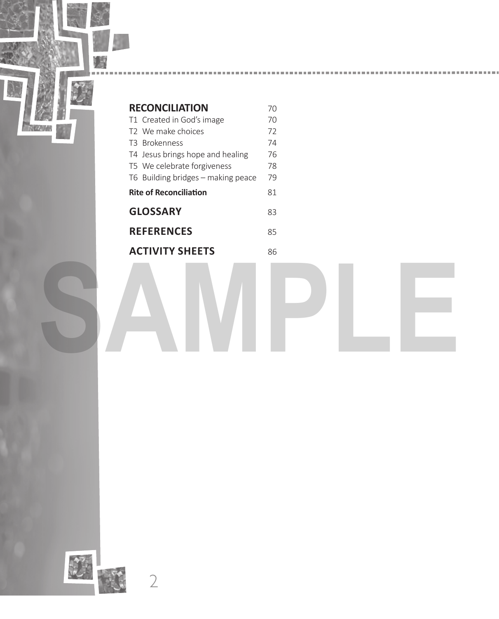

| <b>RECONCILIATION</b>              | 70 |
|------------------------------------|----|
| T1 Created in God's image          | 70 |
| T2 We make choices                 | 72 |
| T3 Brokenness                      | 74 |
| T4 Jesus brings hope and healing   | 76 |
| T5 We celebrate forgiveness        | 78 |
| T6 Building bridges - making peace | 79 |
| <b>Rite of Reconciliation</b>      | 81 |
| <b>GLOSSARY</b>                    | 83 |
| <b>REFERENCES</b>                  | 85 |
| <b>ACTIVITY SHEETS</b>             | 86 |
|                                    |    |

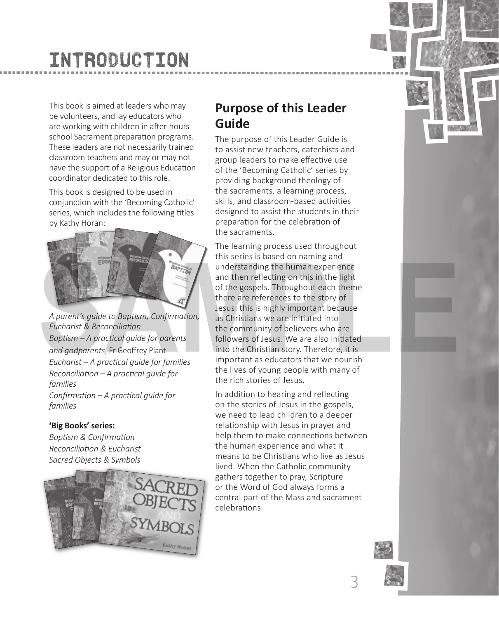# INTRODUCTION

This book is aimed at leaders who may be volunteers, and lay educators who are working with children in after-hours school Sacrament preparation programs. These leaders are not necessarily trained classroom teachers and may or may not have the support of a Religious Education coordinator dedicated to this role.

This book is designed to be used in conjunction with the 'Becoming Catholic' series, which includes the following titles by Kathy Horan:



*A parent's guide to BapƟ sm, Confi rmaƟ on, Eucharist & Reconciliation BapƟ sm – A pracƟ cal guide for parents*  and godparents, Fr Geoffrey Plant *Eucharist – A pracƟ cal guide for families ReconciliaƟ on – A pracƟ cal guide for families Confirmation – A practical quide for families*

### **'Big Books' series:**

*BapƟ sm & Confi rmaƟ on ReconciliaƟ on & Eucharist Sacred Objects & Symbols*



### **Purpose of this Leader Guide**

The purpose of this Leader Guide is to assist new teachers, catechists and group leaders to make effective use of the 'Becoming Catholic' series by providing background theology of the sacraments, a learning process, skills, and classroom-based activities designed to assist the students in their preparation for the celebration of the sacraments.

The learning process used throughout this series is based on naming and understanding the human experience and then reflecting on this in the light of the gospels. Throughout each theme there are references to the story of Jesus: this is highly important because as Christians we are initiated into the community of believers who are followers of Jesus. We are also initiated into the Christian story. Therefore, it is important as educators that we nourish the lives of young people with many of the rich stories of Jesus. This series is based on naming and<br>
and then reflecting on this in the light<br>
and then reflecting on this in the light<br>
of the gospels. Throughout each theme<br>
there are references to the story of<br>
Lecturist & Reconciliatio

> In addition to hearing and reflecting on the stories of Jesus in the gospels, we need to lead children to a deeper relationship with Jesus in prayer and help them to make connections between the human experience and what it means to be Christians who live as Jesus lived. When the Catholic community gathers together to pray, Scripture or the Word of God always forms a central part of the Mass and sacrament celebrations.



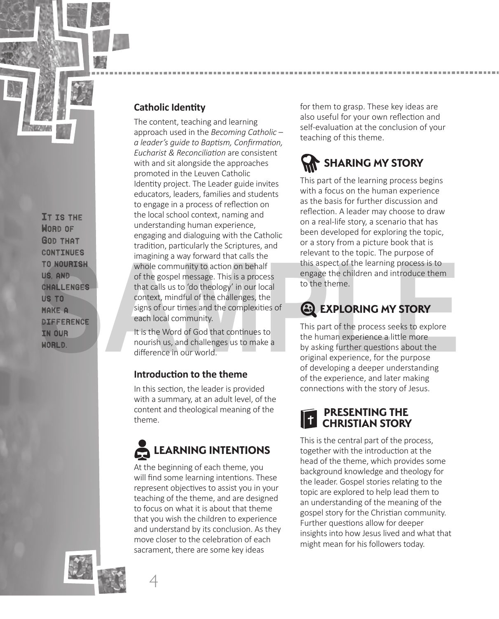

It is the WORD OF God that continues to nourish us, and challenges us to make a difference in our WORLD.

### **Catholic Identity**

The content, teaching and learning approach used in the *Becoming Catholic – a leader's guide to BapƟ sm, Confi rmaƟ on, Eucharist & ReconciliaƟ on* are consistent with and sit alongside the approaches promoted in the Leuven Catholic Identity project. The Leader guide invites educators, leaders, families and students to engage in a process of reflection on the local school context, naming and understanding human experience, engaging and dialoguing with the Catholic tradition, particularly the Scriptures, and imagining a way forward that calls the whole community to action on behalf of the gospel message. This is a process that calls us to 'do theology' in our local context, mindful of the challenges, the signs of our times and the complexities of each local community. TO NOURTENE whole community to action on behalf this apect of the learning process is to<br> **SAMP**<br>
Whole community to action on behalf the scheme of the desired in the therme.<br> **SAMP**<br>
OF CONCERNIER COMENCE that calls us to

It is the Word of God that continues to nourish us, and challenges us to make a difference in our world.

### **Introduction to the theme**

In this section, the leader is provided with a summary, at an adult level, of the content and theological meaning of the theme.



At the beginning of each theme, you will find some learning intentions. These represent objectives to assist you in your teaching of the theme, and are designed to focus on what it is about that theme that you wish the children to experience and understand by its conclusion. As they move closer to the celebration of each sacrament, there are some key ideas

for them to grasp. These key ideas are also useful for your own reflection and self-evaluation at the conclusion of your teaching of this theme.

# **SHARING MY STORY**

This part of the learning process begins with a focus on the human experience as the basis for further discussion and reflection. A leader may choose to draw on a real-life story, a scenario that has been developed for exploring the topic, or a story from a picture book that is relevant to the topic. The purpose of this aspect of the learning process is to engage the children and introduce them to the theme.

### **EXPLORING MY STORY**

This part of the process seeks to explore the human experience a little more by asking further questions about the original experience, for the purpose of developing a deeper understanding of the experience, and later making connections with the story of Jesus.

### **CHRISTIAN STORY PRESENTING THE**

This is the central part of the process, together with the introduction at the head of the theme, which provides some background knowledge and theology for the leader. Gospel stories relating to the topic are explored to help lead them to an understanding of the meaning of the gospel story for the Christian community. Further questions allow for deeper insights into how Jesus lived and what that might mean for his followers today.



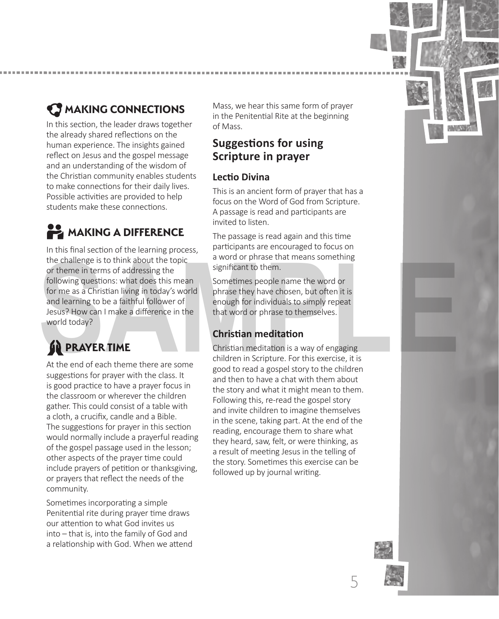

### **MAKING CONNECTIONS**

In this section, the leader draws together the already shared reflections on the human experience. The insights gained reflect on Jesus and the gospel message and an understanding of the wisdom of the Christian community enables students to make connections for their daily lives. Possible activities are provided to help students make these connections.

### **MAKING A DIFFERENCE**

In this final section of the learning process, the challenge is to think about the topic or theme in terms of addressing the following questions: what does this mean for me as a Christian living in today's world and learning to be a faithful follower of Jesus? How can I make a difference in the world today? the challenge is to think about the topic<br>
or theme in terms of addressing the<br>
following questions: what does this mean<br>
for me as a Christian living in today's world<br>
for mean a Sometimes people name the word or<br>
for mea

## **PRAYER TIME**

At the end of each theme there are some suggestions for prayer with the class. It is good practice to have a prayer focus in the classroom or wherever the children gather. This could consist of a table with a cloth, a crucifix, candle and a Bible. The suggestions for prayer in this section would normally include a prayerful reading of the gospel passage used in the lesson; other aspects of the prayer time could include prayers of petition or thanksgiving, or prayers that reflect the needs of the community.

Sometimes incorporating a simple Penitential rite during prayer time draws our attention to what God invites us into – that is, into the family of God and a relationship with God. When we attend

Mass, we hear this same form of prayer in the Penitential Rite at the beginning of Mass.

### **Suggestions for using Scripture in prayer**

### **Lectio Divina**

This is an ancient form of prayer that has a focus on the Word of God from Scripture. A passage is read and participants are invited to listen.

The passage is read again and this time participants are encouraged to focus on a word or phrase that means something significant to them.

Sometimes people name the word or phrase they have chosen, but often it is enough for individuals to simply repeat that word or phrase to themselves.

### **Christian meditation**

Christian meditation is a way of engaging children in Scripture. For this exercise, it is good to read a gospel story to the children and then to have a chat with them about the story and what it might mean to them. Following this, re-read the gospel story and invite children to imagine themselves in the scene, taking part. At the end of the reading, encourage them to share what they heard, saw, felt, or were thinking, as a result of meeting Jesus in the telling of the story. Sometimes this exercise can be followed up by journal writing.

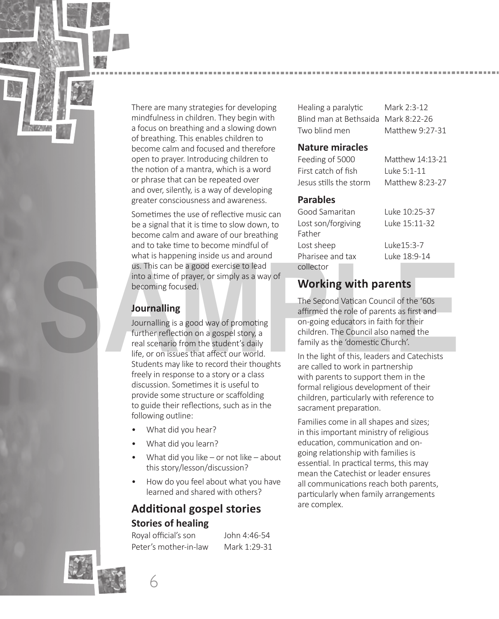There are many strategies for developing mindfulness in children. They begin with a focus on breathing and a slowing down of breathing. This enables children to become calm and focused and therefore open to prayer. Introducing children to the notion of a mantra, which is a word or phrase that can be repeated over and over, silently, is a way of developing greater consciousness and awareness.

Sometimes the use of reflective music can be a signal that it is time to slow down, to become calm and aware of our breathing and to take time to become mindful of what is happening inside us and around us. This can be a good exercise to lead into a time of prayer, or simply as a way of becoming focused.

### **Journalling**

Journalling is a good way of promoting further reflection on a gospel story, a real scenario from the student's daily life, or on issues that affect our world. Students may like to record their thoughts freely in response to a story or a class discussion. Sometimes it is useful to provide some structure or scaffolding to guide their reflections, such as in the following outline: Working with parents and like 18:9-14<br>
us. This can be a good exercise to lead<br>
into a time of prayer, or simply as a way of<br> **SAMPLE CONTIFY SETS**<br> **SAMPLE CONTIFY SAMPLE CONTIFY**<br> **SAMPLE CONTIFY SAMPLE CONTIFY**<br> **SAMPLE** 

- What did you hear?
- What did you learn?
- What did you like or not like about this story/lesson/discussion?
- How do you feel about what you have learned and shared with others?

### **AddiƟ onal gospel stories Stories of healing**

Royal official's son John 4:46-54 Peter's mother-in-law Mark 1:29-31

Healing a paralytic Mark 2:3-12 Blind man at Bethsaida Mark 8:22-26 Two blind men Matthew 9:27-31

### **Nature miracles**

| Matthew 14:13-21 |
|------------------|
| Luke 5:1-11      |
| Matthew 8:23-27  |
|                  |

### **Parables**

| Good Samaritan     | Luke 10:25-37 |  |  |
|--------------------|---------------|--|--|
| Lost son/forgiving | Luke 15:11-32 |  |  |
| Father             |               |  |  |
| Lost sheep         | Luke 15:3-7   |  |  |
| Pharisee and tax   | Luke 18:9-14  |  |  |
| collector          |               |  |  |

### **Working with parents**

The Second Vatican Council of the '60s affirmed the role of parents as first and on-going educators in faith for their children. The Council also named the family as the 'domestic Church'.

In the light of this, leaders and Catechists are called to work in partnership with parents to support them in the formal religious development of their children, particularly with reference to sacrament preparation.

Families come in all shapes and sizes; in this important ministry of religious education, communication and ongoing relationship with families is essential. In practical terms, this may mean the Catechist or leader ensures all communications reach both parents. particularly when family arrangements are complex.



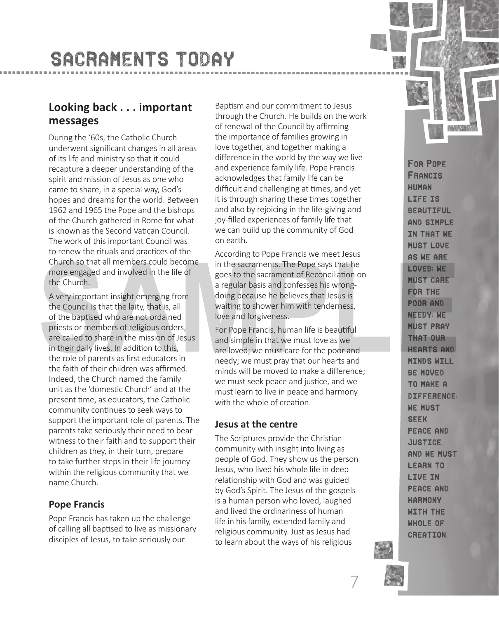# SACRAMENTS TODAY

### **Looking back . . . important messages**

During the '60s, the Catholic Church underwent significant changes in all areas of its life and ministry so that it could recapture a deeper understanding of the spirit and mission of Jesus as one who came to share, in a special way, God's hopes and dreams for the world. Between 1962 and 1965 the Pope and the bishops of the Church gathered in Rome for what is known as the Second Vatican Council. The work of this important Council was to renew the rituals and practices of the Church so that all members could become more engaged and involved in the life of the Church.

A very important insight emerging from the Council is that the laity, that is, all of the baptised who are not ordained priests or members of religious orders, are called to share in the mission of Jesus in their daily lives. In addition to this, the role of parents as first educators in the faith of their children was affirmed. Indeed, the Church named the family unit as the 'domestic Church' and at the present time, as educators, the Catholic community continues to seek ways to support the important role of parents. The parents take seriously their need to bear witness to their faith and to support their children as they, in their turn, prepare to take further steps in their life journey within the religious community that we name Church. Church so that all members could become<br>
in the sacraments. The Pope says that he<br>
more engaged and involved in the life of<br>
the Church.<br>
SA very important insight emerging from<br>
the Council is that the laity, that is, all

### **Pope Francis**

Pope Francis has taken up the challenge of calling all baptised to live as missionary disciples of Jesus, to take seriously our

Baptism and our commitment to Jesus through the Church. He builds on the work of renewal of the Council by affirming the importance of families growing in love together, and together making a difference in the world by the way we live and experience family life. Pope Francis acknowledges that family life can be difficult and challenging at times, and yet it is through sharing these times together and also by rejoicing in the life-giving and joy-filled experiences of family life that we can build up the community of God on earth.

According to Pope Francis we meet Jesus in the sacraments. The Pope says that he goes to the sacrament of Reconciliation on a regular basis and confesses his wrongdoing because he believes that Jesus is waiting to shower him with tenderness, love and forgiveness.

For Pope Francis, human life is beautiful and simple in that we must love as we are loved; we must care for the poor and needy; we must pray that our hearts and minds will be moved to make a difference: we must seek peace and justice, and we must learn to live in peace and harmony with the whole of creation

### **Jesus at the centre**

The Scriptures provide the Christian community with insight into living as people of God. They show us the person Jesus, who lived his whole life in deep relationship with God and was guided by God's Spirit. The Jesus of the gospels is a human person who loved, laughed and lived the ordinariness of human life in his family, extended family and religious community. Just as Jesus had to learn about the ways of his religious

For Pope Francis, human life is beautiful and simple IN THAT WE must love as we are loved; we must care for the poor and needy; we must pray that our hearts and minds will be moved to make a difference; we must seek peace and justice, and we must learn to live in peace and harmony with the whole of creation.



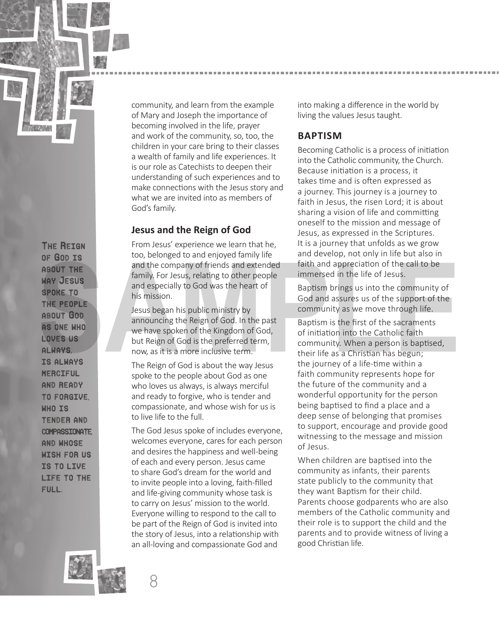

The Reign of God is about the way Jesus spoke to the people about God as one who loves us always, is always merciful and ready to forgive, who is tender and compassionate, and whose wish for us is to live life to the full.

community, and learn from the example of Mary and Joseph the importance of becoming involved in the life, prayer and work of the community, so, too, the children in your care bring to their classes a wealth of family and life experiences. It is our role as Catechists to deepen their understanding of such experiences and to make connections with the Jesus story and what we are invited into as members of God's family.

### **Jesus and the Reign of God**

From Jesus' experience we learn that he, too, belonged to and enjoyed family life and the company of friends and extended family. For Jesus, relating to other people and especially to God was the heart of his mission.

Jesus began his public ministry by announcing the Reign of God. In the past we have spoken of the Kingdom of God, but Reign of God is the preferred term, now, as it is a more inclusive term.

The Reign of God is about the way Jesus spoke to the people about God as one who loves us always, is always merciful and ready to forgive, who is tender and compassionate, and whose wish for us is to live life to the full.

The God Jesus spoke of includes everyone, welcomes everyone, cares for each person and desires the happiness and well-being of each and every person. Jesus came to share God's dream for the world and to invite people into a loving, faith-filled and life-giving community whose task is to carry on Jesus' mission to the world. Everyone willing to respond to the call to be part of the Reign of God is invited into the story of Jesus, into a relationship with an all-loving and compassionate God and

into making a difference in the world by living the values Jesus taught.

### **BAPTISM**

Becoming Catholic is a process of initiation into the Catholic community, the Church. Because initiation is a process, it takes time and is often expressed as a journey. This journey is a journey to faith in Jesus, the risen Lord; it is about sharing a vision of life and committing oneself to the mission and message of Jesus, as expressed in the Scriptures. It is a journey that unfolds as we grow and develop, not only in life but also in faith and appreciation of the call to be immersed in the life of Jesus.

Baptism brings us into the community of God and assures us of the support of the community as we move through life.

Baptism is the first of the sacraments of initiation into the Catholic faith community. When a person is baptised, their life as a Christian has begun; the journey of a life-time within a faith community represents hope for the future of the community and a wonderful opportunity for the person being baptised to find a place and a deep sense of belonging that promises to support, encourage and provide good witnessing to the message and mission of Jesus. **SAMPLE CONCRECT CONCRECT THE**<br> **SAMPLE CONCRECTS**<br> **SAMPLE CONCRECTS**<br> **SAMPLE CONCRECTS**<br> **SAMPLE CONCRECTS**<br> **SAMPLE CONCRECTS**<br> **SAMPLE CONCRECTS**<br> **SAMPLE CONCRECTS**<br> **SAMPLE CONCRECTS**<br> **SAMPLE CONCRECTS**<br> **SAMPLE CO** 

> When children are baptised into the community as infants, their parents state publicly to the community that they want Baptism for their child. Parents choose godparents who are also members of the Catholic community and their role is to support the child and the parents and to provide witness of living a good Christian life.



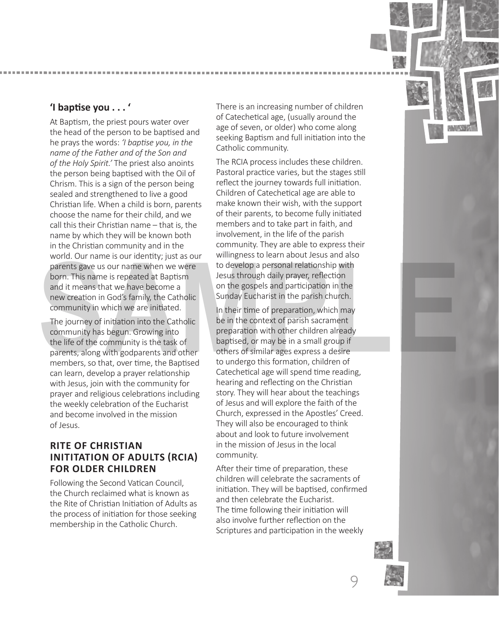### **'I bapƟ se you . . . '**

At Baptism, the priest pours water over the head of the person to be baptised and he prays the words: *'I baptise you, in the name of the Father and of the Son and of the Holy Spirit.'* The priest also anoints the person being baptised with the Oil of Chrism. This is a sign of the person being sealed and strengthened to live a good Christian life. When a child is born, parents choose the name for their child, and we call this their Christian name – that is, the name by which they will be known both in the Christian community and in the world. Our name is our identity; just as our parents gave us our name when we were born. This name is repeated at Baptism and it means that we have become a new creation in God's family, the Catholic community in which we are initiated.

The journey of initiation into the Catholic community has begun. Growing into the life of the community is the task of parents, along with godparents and other members, so that, over time, the Baptised can learn, develop a prayer relationship with Jesus, join with the community for prayer and religious celebrations including the weekly celebration of the Eucharist and become involved in the mission of Jesus.

### **RITE OF CHRISTIAN INITITATION OF ADULTS (RCIA) FOR OLDER CHILDREN**

Following the Second Vatican Council, the Church reclaimed what is known as the Rite of Christian Initiation of Adults as the process of initiation for those seeking membership in the Catholic Church.

There is an increasing number of children of Catechetical age, (usually around the age of seven, or older) who come along seeking Baptism and full initiation into the Catholic community.

The RCIA process includes these children. Pastoral practice varies, but the stages still reflect the journey towards full initiation. Children of Catechetical age are able to make known their wish, with the support of their parents, to become fully initiated members and to take part in faith, and involvement, in the life of the parish community. They are able to express their willingness to learn about Jesus and also to develop a personal relationship with Jesus through daily prayer, reflection on the gospels and participation in the Sunday Eucharist in the parish church.

In their time of preparation, which may be in the context of parish sacrament preparation with other children already baptised, or may be in a small group if others of similar ages express a desire to undergo this formation, children of Catechetical age will spend time reading, hearing and reflecting on the Christian story. They will hear about the teachings of Jesus and will explore the faith of the Church, expressed in the Apostles' Creed. They will also be encouraged to think about and look to future involvement in the mission of Jesus in the local community. word. Our name is our neare when we were the develop a personal relationship with<br>born. This name is repeated at Baptism<br>born. This name is repeated at Baptism<br>and it means that we have become a<br>and it means that we have b

> After their time of preparation, these children will celebrate the sacraments of initiation. They will be baptised, confirmed and then celebrate the Eucharist. The time following their initiation will also involve further reflection on the Scriptures and participation in the weekly



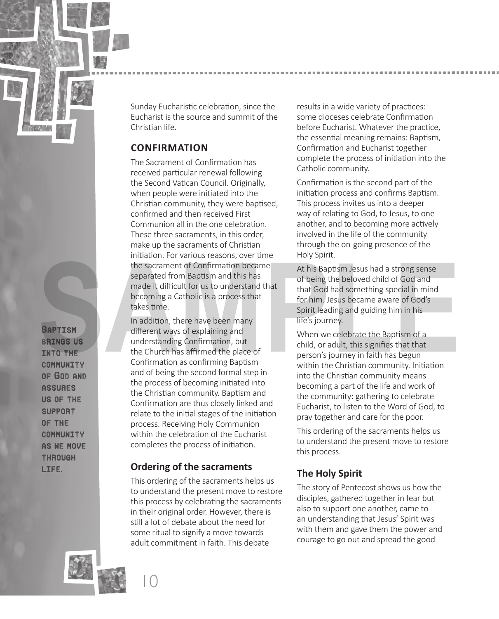

Baptism **BRINGS US** into the community of God and **ASSURES** us of the support of the **COMMUNITY** as we move **THROUGH** life.

Sunday Eucharistic celebration, since the Eucharist is the source and summit of the Christian life.

### **CONFIRMATION**

The Sacrament of Confirmation has received particular renewal following the Second Vatican Council. Originally, when people were initiated into the Christian community, they were baptised, confirmed and then received First Communion all in the one celebration. These three sacraments, in this order, make up the sacraments of Christian initiation. For various reasons, over time the sacrament of Confirmation became separated from Baptism and this has made it difficult for us to understand that becoming a Catholic is a process that takes time.

In addition, there have been many different ways of explaining and understanding Confirmation, but the Church has affirmed the place of Confirmation as confirming Baptism and of being the second formal step in the process of becoming initiated into the Christian community. Baptism and Confirmation are thus closely linked and relate to the initial stages of the initiation process. Receiving Holy Communion within the celebration of the Eucharist completes the process of initiation. Final Controllers and the Sacrament of Confirmation became<br>
the sacrament of Confirmation became<br>
separated from Baptism and this has<br>
made it difficult for us to understand that<br>
the God had something special in mind<br>
bec

### **Ordering of the sacraments**

This ordering of the sacraments helps us to understand the present move to restore this process by celebrating the sacraments in their original order. However, there is still a lot of debate about the need for some ritual to signify a move towards adult commitment in faith. This debate

results in a wide variety of practices: some dioceses celebrate Confirmation before Eucharist. Whatever the practice. the essential meaning remains: Baptism, Confirmation and Eucharist together complete the process of initiation into the Catholic community.

Confirmation is the second part of the initiation process and confirms Baptism. This process invites us into a deeper way of relating to God, to Jesus, to one another, and to becoming more actively involved in the life of the community through the on-going presence of the Holy Spirit.

At his Baptism Jesus had a strong sense of being the beloved child of God and that God had something special in mind for him. Jesus became aware of God's Spirit leading and guiding him in his life's journey.

When we celebrate the Baptism of a child, or adult, this signifies that that person's journey in faith has begun within the Christian community. Initiation into the Christian community means becoming a part of the life and work of the community: gathering to celebrate Eucharist, to listen to the Word of God, to pray together and care for the poor.

This ordering of the sacraments helps us to understand the present move to restore this process.

### **The Holy Spirit**

The story of Pentecost shows us how the disciples, gathered together in fear but also to support one another, came to an understanding that Jesus' Spirit was with them and gave them the power and courage to go out and spread the good



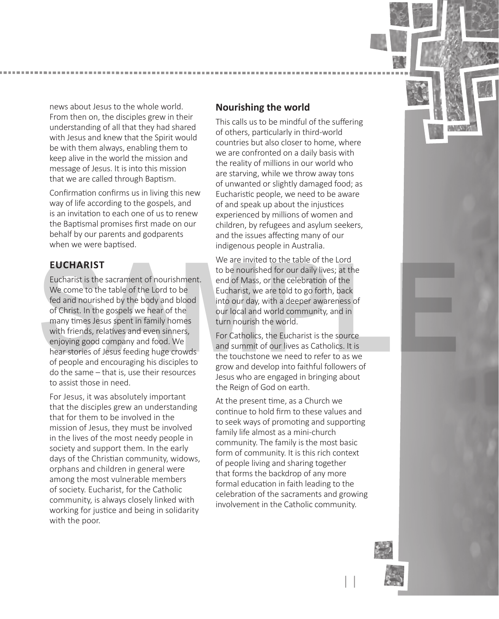

news about Jesus to the whole world. From then on, the disciples grew in their understanding of all that they had shared with Jesus and knew that the Spirit would be with them always, enabling them to keep alive in the world the mission and message of Jesus. It is into this mission that we are called through Baptism.

Confirmation confirms us in living this new way of life according to the gospels, and is an invitation to each one of us to renew the Baptismal promises first made on our behalf by our parents and godparents when we were baptised.

### **EUCHARIST**

Eucharist is the sacrament of nourishment. We come to the table of the Lord to be fed and nourished by the body and blood of Christ. In the gospels we hear of the many times Jesus spent in family homes with friends, relatives and even sinners, enjoying good company and food. We hear stories of Jesus feeding huge crowds of people and encouraging his disciples to do the same – that is, use their resources to assist those in need. **EUCHARIST**<br>
Eucharist is the sacrament of nourishment.<br>
We are invited to the table of the Lord<br>
We come to the table of the Lord to be<br>
We come to the table of the Lord to be<br>
Securiarist, we are told to go forth, back<br>

For Jesus, it was absolutely important that the disciples grew an understanding that for them to be involved in the mission of Jesus, they must be involved in the lives of the most needy people in society and support them. In the early days of the Christian community, widows, orphans and children in general were among the most vulnerable members of society. Eucharist, for the Catholic community, is always closely linked with working for justice and being in solidarity with the poor.

### **Nourishing the world**

This calls us to be mindful of the suffering of others, particularly in third-world countries but also closer to home, where we are confronted on a daily basis with the reality of millions in our world who are starving, while we throw away tons of unwanted or slightly damaged food; as Eucharistic people, we need to be aware of and speak up about the injustices experienced by millions of women and children, by refugees and asylum seekers, and the issues affecting many of our indigenous people in Australia.

We are invited to the table of the Lord to be nourished for our daily lives; at the end of Mass, or the celebration of the Eucharist, we are told to go forth, back into our day, with a deeper awareness of our local and world community, and in turn nourish the world.

For Catholics, the Eucharist is the source and summit of our lives as Catholics. It is the touchstone we need to refer to as we grow and develop into faithful followers of Jesus who are engaged in bringing about the Reign of God on earth.

At the present time, as a Church we continue to hold firm to these values and to seek ways of promoting and supporting family life almost as a mini-church community. The family is the most basic form of community. It is this rich context of people living and sharing together that forms the backdrop of any more formal education in faith leading to the celebration of the sacraments and growing involvement in the Catholic community.



11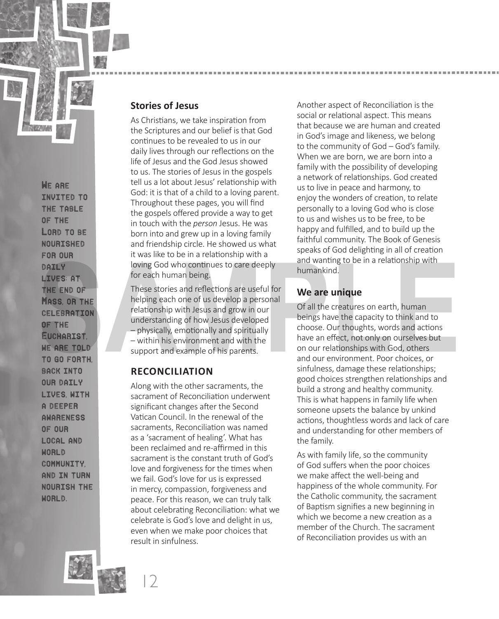

We are invited to the table of the LORD TO BE nourished for our daily LIVES; AT the end of MASS OR THE celebration of the Eucharist, WE ARE TOLD to go forth, **BACK INTO** our daily lives, with a deeper awareness of our local and **WORLD** community, and in turn nourish the WORLD.

### **Stories of Jesus**

As Christians, we take inspiration from the Scriptures and our belief is that God continues to be revealed to us in our daily lives through our reflections on the life of Jesus and the God Jesus showed to us. The stories of Jesus in the gospels tell us a lot about Jesus' relationship with God: it is that of a child to a loving parent. Throughout these pages, you will find the gospels offered provide a way to get in touch with the *person* Jesus. He was born into and grew up in a loving family and friendship circle. He showed us what it was like to be in a relationship with a loving God who continues to care deeply for each human being.

These stories and reflections are useful for helping each one of us develop a personal relationship with Jesus and grow in our understanding of how Jesus developed – physically, emotionally and spiritually – within his environment and with the support and example of his parents.

### **RECONCILIATION**

Along with the other sacraments, the sacrament of Reconciliation underwent significant changes after the Second Vatican Council. In the renewal of the sacraments, Reconciliation was named as a 'sacrament of healing'. What has been reclaimed and re-affirmed in this sacrament is the constant truth of God's love and forgiveness for the times when we fail. God's love for us is expressed in mercy, compassion, forgiveness and peace. For this reason, we can truly talk about celebrating Reconciliation: what we celebrate is God's love and delight in us, even when we make poor choices that result in sinfulness.

Another aspect of Reconciliation is the social or relational aspect. This means that because we are human and created in God's image and likeness, we belong to the community of God – God's family. When we are born, we are born into a family with the possibility of developing a network of relationships. God created us to live in peace and harmony, to enjoy the wonders of creation, to relate personally to a loving God who is close to us and wishes us to be free, to be happy and fulfilled, and to build up the faithful community. The Book of Genesis speaks of God delighting in all of creation and wanting to be in a relationship with humankind.

### **We are unique**

Of all the creatures on earth, human beings have the capacity to think and to choose. Our thoughts, words and actions have an effect, not only on ourselves but on our relationships with God, others and our environment. Poor choices, or sinfulness, damage these relationships; good choices strengthen relationships and build a strong and healthy community. This is what happens in family life when someone upsets the balance by unkind actions, thoughtless words and lack of care and understanding for other members of the family. For each human being.<br> **SAMPLERE END OF**<br> **SAMPLERE END OF**<br> **SAMPLERE END OF**<br> **SAMPLERE END OF**<br> **SAMPLERE END OF**<br> **SAMPLERE END OF**<br> **SAMPLE END OF**<br> **SAMPLE CHEGERATION**<br> **SAMPLE CHEGERATION**<br> **SAMPLE CHEGERATION**<br> **S** 

> As with family life, so the community of God suffers when the poor choices we make affect the well-being and happiness of the whole community. For the Catholic community, the sacrament of Baptism signifies a new beginning in which we become a new creation as a member of the Church. The sacrament of Reconciliation provides us with an



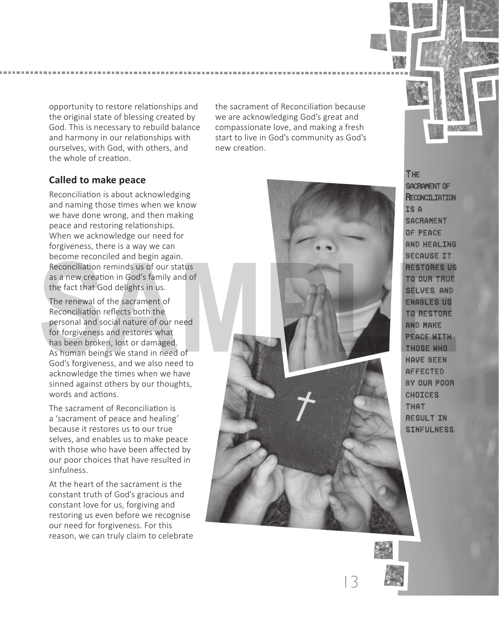opportunity to restore relationships and the original state of blessing created by God. This is necessary to rebuild balance and harmony in our relationships with ourselves, with God, with others, and the whole of creation.

the sacrament of Reconciliation because we are acknowledging God's great and compassionate love, and making a fresh start to live in God's community as God's new creation.

### **Called to make peace**

Reconciliation is about acknowledging and naming those times when we know we have done wrong, and then making peace and restoring relationships. When we acknowledge our need for forgiveness, there is a way we can become reconciled and begin again. Reconciliation reminds us of our status as a new creation in God's family and of the fact that God delights in us.

The renewal of the sacrament of Reconciliation reflects both the personal and social nature of our need for forgiveness and restores what has been broken, lost or damaged. As human beings we stand in need of God's forgiveness, and we also need to acknowledge the times when we have sinned against others by our thoughts, words and actions.

The sacrament of Reconciliation is a 'sacrament of peace and healing' because it restores us to our true selves, and enables us to make peace with those who have been affected by our poor choices that have resulted in sinfulness.

At the heart of the sacrament is the constant truth of God's gracious and constant love for us, forgiving and restoring us even before we recognise our need for forgiveness. For this reason, we can truly claim to celebrate



The sacrament of **RECONCILIATION** is a **SACRAMENT** of peace and healing because it restores us to our true selves, and enables us to restore and make peace with those who have been affected by our poor **CHOICES** that result in sinfulness.



13